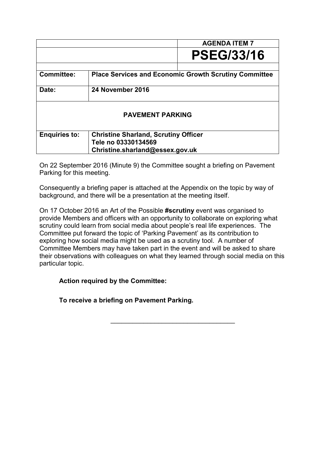|                                 |                                                                    | <b>AGENDA ITEM 7</b> |  |  |
|---------------------------------|--------------------------------------------------------------------|----------------------|--|--|
|                                 |                                                                    | <b>PSEG/33/16</b>    |  |  |
| <b>Committee:</b>               | <b>Place Services and Economic Growth Scrutiny Committee</b>       |                      |  |  |
| Date:                           | 24 November 2016                                                   |                      |  |  |
| <b>PAVEMENT PARKING</b>         |                                                                    |                      |  |  |
| <b>Enquiries to:</b>            | <b>Christine Sharland, Scrutiny Officer</b><br>Tele no 03330134569 |                      |  |  |
| Christine.sharland@essex.gov.uk |                                                                    |                      |  |  |

On 22 September 2016 (Minute 9) the Committee sought a briefing on Pavement Parking for this meeting.

Consequently a briefing paper is attached at the Appendix on the topic by way of background, and there will be a presentation at the meeting itself.

On 17 October 2016 an Art of the Possible **#scrutiny** event was organised to provide Members and officers with an opportunity to collaborate on exploring what scrutiny could learn from social media about people's real life experiences. The Committee put forward the topic of 'Parking Pavement' as its contribution to exploring how social media might be used as a scrutiny tool. A number of Committee Members may have taken part in the event and will be asked to share their observations with colleagues on what they learned through social media on this particular topic.

 $\frac{1}{2}$  ,  $\frac{1}{2}$  ,  $\frac{1}{2}$  ,  $\frac{1}{2}$  ,  $\frac{1}{2}$  ,  $\frac{1}{2}$  ,  $\frac{1}{2}$  ,  $\frac{1}{2}$  ,  $\frac{1}{2}$  ,  $\frac{1}{2}$  ,  $\frac{1}{2}$  ,  $\frac{1}{2}$  ,  $\frac{1}{2}$  ,  $\frac{1}{2}$  ,  $\frac{1}{2}$  ,  $\frac{1}{2}$  ,  $\frac{1}{2}$  ,  $\frac{1}{2}$  ,  $\frac{1$ 

# **Action required by the Committee:**

**To receive a briefing on Pavement Parking.**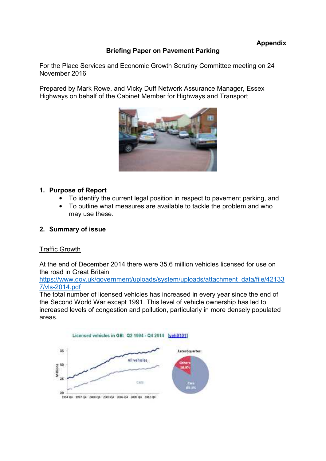## **Briefing Paper on Pavement Parking**

For the Place Services and Economic Growth Scrutiny Committee meeting on 24 November 2016

Prepared by Mark Rowe, and Vicky Duff Network Assurance Manager, Essex Highways on behalf of the Cabinet Member for Highways and Transport



#### **1. Purpose of Report**

- To identify the current legal position in respect to pavement parking, and
- To outline what measures are available to tackle the problem and who may use these.

### **2. Summary of issue**

#### Traffic Growth

At the end of December 2014 there were 35.6 million vehicles licensed for use on the road in Great Britain

[https://www.gov.uk/government/uploads/system/uploads/attachment\\_data/file/42133](https://www.gov.uk/government/uploads/system/uploads/attachment_data/file/421337/vls-2014.pdf) [7/vls-2014.pdf](https://www.gov.uk/government/uploads/system/uploads/attachment_data/file/421337/vls-2014.pdf) 

The total number of licensed vehicles has increased in every year since the end of the Second World War except 1991. This level of vehicle ownership has led to increased levels of congestion and pollution, particularly in more densely populated areas.

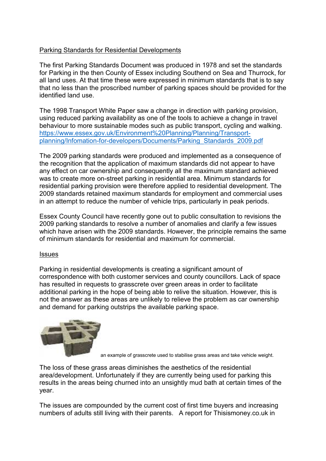# Parking Standards for Residential Developments

The first Parking Standards Document was produced in 1978 and set the standards for Parking in the then County of Essex including Southend on Sea and Thurrock, for all land uses. At that time these were expressed in minimum standards that is to say that no less than the proscribed number of parking spaces should be provided for the identified land use.

The 1998 Transport White Paper saw a change in direction with parking provision, using reduced parking availability as one of the tools to achieve a change in travel behaviour to more sustainable modes such as public transport, cycling and walking. [https://www.essex.gov.uk/Environment%20Planning/Planning/Transport](https://www.essex.gov.uk/Environment%20Planning/Planning/Transport-planning/Infomation-for-developers/Documents/Parking_Standards_2009.pdf)[planning/Infomation-for-developers/Documents/Parking\\_Standards\\_2009.pdf](https://www.essex.gov.uk/Environment%20Planning/Planning/Transport-planning/Infomation-for-developers/Documents/Parking_Standards_2009.pdf)

The 2009 parking standards were produced and implemented as a consequence of the recognition that the application of maximum standards did not appear to have any effect on car ownership and consequently all the maximum standard achieved was to create more on-street parking in residential area. Minimum standards for residential parking provision were therefore applied to residential development. The 2009 standards retained maximum standards for employment and commercial uses in an attempt to reduce the number of vehicle trips, particularly in peak periods.

Essex County Council have recently gone out to public consultation to revisions the 2009 parking standards to resolve a number of anomalies and clarify a few issues which have arisen with the 2009 standards. However, the principle remains the same of minimum standards for residential and maximum for commercial.

### Issues

Parking in residential developments is creating a significant amount of correspondence with both customer services and county councillors. Lack of space has resulted in requests to grasscrete over green areas in order to facilitate additional parking in the hope of being able to relive the situation. However, this is not the answer as these areas are unlikely to relieve the problem as car ownership and demand for parking outstrips the available parking space.



an example of grasscrete used to stabilise grass areas and take vehicle weight.

The loss of these grass areas diminishes the aesthetics of the residential area/development. Unfortunately if they are currently being used for parking this results in the areas being churned into an unsightly mud bath at certain times of the year.

The issues are compounded by the current cost of first time buyers and increasing numbers of adults still living with their parents. A report for Thisismoney.co.uk in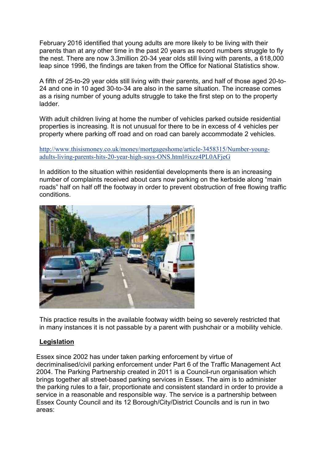February 2016 identified that young adults are more likely to be living with their parents than at any other time in the past 20 years as record numbers struggle to fly the nest. There are now 3.3million 20-34 year olds still living with parents, a 618,000 leap since 1996, the findings are taken from the Office for National Statistics show.

A fifth of 25-to-29 year olds still living with their parents, and half of those aged 20-to-24 and one in 10 aged 30-to-34 are also in the same situation. The increase comes as a rising number of young adults struggle to take the first step on to the property ladder.

With adult children living at home the number of vehicles parked outside residential properties is increasing. It is not unusual for there to be in excess of 4 vehicles per property where parking off road and on road can barely accommodate 2 vehicles.

[http://www.thisismoney.co.uk/money/mortgageshome/article-3458315/Number-young](http://www.thisismoney.co.uk/money/mortgageshome/article-3458315/Number-young-adults-living-parents-hits-20-year-high-says-ONS.html#ixzz4PL0AFjeG)[adults-living-parents-hits-20-year-high-says-ONS.html#ixzz4PL0AFjeG](http://www.thisismoney.co.uk/money/mortgageshome/article-3458315/Number-young-adults-living-parents-hits-20-year-high-says-ONS.html#ixzz4PL0AFjeG) 

In addition to the situation within residential developments there is an increasing number of complaints received about cars now parking on the kerbside along "main roads" half on half off the footway in order to prevent obstruction of free flowing traffic conditions.



This practice results in the available footway width being so severely restricted that in many instances it is not passable by a parent with pushchair or a mobility vehicle.

### **Legislation**

Essex since 2002 has under taken parking enforcement by virtue of decriminalised/civil parking enforcement under Part 6 of the Traffic Management Act 2004. The Parking Partnership created in 2011 is a Council-run organisation which brings together all street-based parking services in Essex. The aim is to administer the parking rules to a fair, proportionate and consistent standard in order to provide a service in a reasonable and responsible way. The service is a partnership between Essex County Council and its 12 Borough/City/District Councils and is run in two areas: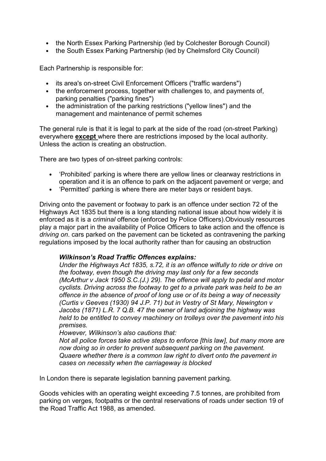- the North Essex Parking Partnership (led by Colchester Borough Council)
- the South Essex Parking Partnership (led by Chelmsford City Council)

Each Partnership is responsible for:

- its area's on-street Civil Enforcement Officers ("traffic wardens")
- the enforcement process, together with challenges to, and payments of, parking penalties ("parking fines")
- the administration of the parking restrictions ("yellow lines") and the management and maintenance of permit schemes

The general rule is that it is legal to park at the side of the road (on-street Parking) everywhere **except** where there are restrictions imposed by the local authority. Unless the action is creating an obstruction.

There are two types of on-street parking controls:

- 'Prohibited' parking is where there are yellow lines or clearway restrictions in operation and it is an offence to park on the adjacent pavement or verge; and
- 'Permitted' parking is where there are meter bays or resident bays.

Driving onto the pavement or footway to park is an offence under section 72 of the Highways Act 1835 but there is a long standing national issue about how widely it is enforced as it is a *criminal* offence (enforced by Police Officers).Obviously resources play a major part in the availability of Police Officers to take action and the offence is *driving on*. cars parked on the pavement can be ticketed as contravening the parking regulations imposed by the local authority rather than for causing an obstruction

#### *Wilkinson's Road Traffic Offences explains:*

*Under the Highways Act 1835, s.72, it is an offence wilfully to ride or drive on the footway, even though the driving may last only for a few seconds (McArthur v Jack 1950 S.C.(J.) 29). The offence will apply to pedal and motor cyclists. Driving across the footway to get to a private park was held to be an offence in the absence of proof of long use or of its being a way of necessity (Curtis v Geeves (1930) 94 J.P. 71) but in Vestry of St Mary, Newington v Jacobs (1871) L.R. 7 Q.B. 47 the owner of land adjoining the highway was held to be entitled to convey machinery on trolleys over the pavement into his premises.* 

*However, Wilkinson's also cautions that:* 

*Not all police forces take active steps to enforce [this law], but many more are now doing so in order to prevent subsequent parking on the pavement. Quaere whether there is a common law right to divert onto the pavement in cases on necessity when the carriageway is blocked* 

In London there is separate legislation banning pavement parking.

Goods vehicles with an operating weight exceeding 7.5 tonnes, are prohibited from parking on verges, footpaths or the central reservations of roads under section 19 of the Road Traffic Act 1988, as amended.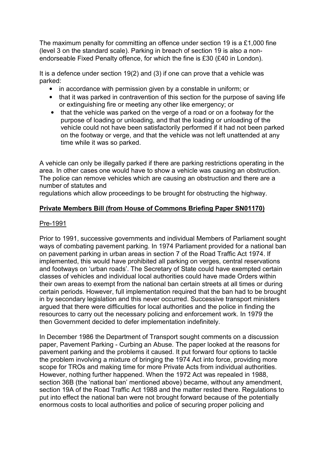The maximum penalty for committing an offence under section 19 is a £1,000 fine (level 3 on the standard scale). Parking in breach of section 19 is also a nonendorseable Fixed Penalty offence, for which the fine is £30 (£40 in London).

It is a defence under section 19(2) and (3) if one can prove that a vehicle was parked:

- in accordance with permission given by a constable in uniform; or
- that it was parked in contravention of this section for the purpose of saving life or extinguishing fire or meeting any other like emergency; or
- that the vehicle was parked on the verge of a road or on a footway for the purpose of loading or unloading, and that the loading or unloading of the vehicle could not have been satisfactorily performed if it had not been parked on the footway or verge, and that the vehicle was not left unattended at any time while it was so parked.

A vehicle can only be illegally parked if there are parking restrictions operating in the area. In other cases one would have to show a vehicle was causing an obstruction. The police can remove vehicles which are causing an obstruction and there are a number of statutes and

regulations which allow proceedings to be brought for obstructing the highway.

## **Private Members Bill (from House of Commons Briefing Paper SN01170)**

#### Pre-1991

Prior to 1991, successive governments and individual Members of Parliament sought ways of combating pavement parking. In 1974 Parliament provided for a national ban on pavement parking in urban areas in section 7 of the Road Traffic Act 1974. If implemented, this would have prohibited all parking on verges, central reservations and footways on 'urban roads'. The Secretary of State could have exempted certain classes of vehicles and individual local authorities could have made Orders within their own areas to exempt from the national ban certain streets at all times or during certain periods. However, full implementation required that the ban had to be brought in by secondary legislation and this never occurred. Successive transport ministers argued that there were difficulties for local authorities and the police in finding the resources to carry out the necessary policing and enforcement work. In 1979 the then Government decided to defer implementation indefinitely.

In December 1986 the Department of Transport sought comments on a discussion paper, Pavement Parking - Curbing an Abuse. The paper looked at the reasons for pavement parking and the problems it caused. It put forward four options to tackle the problem involving a mixture of bringing the 1974 Act into force, providing more scope for TROs and making time for more Private Acts from individual authorities. However, nothing further happened. When the 1972 Act was repealed in 1988, section 36B (the 'national ban' mentioned above) became, without any amendment, section 19A of the Road Traffic Act 1988 and the matter rested there. Regulations to put into effect the national ban were not brought forward because of the potentially enormous costs to local authorities and police of securing proper policing and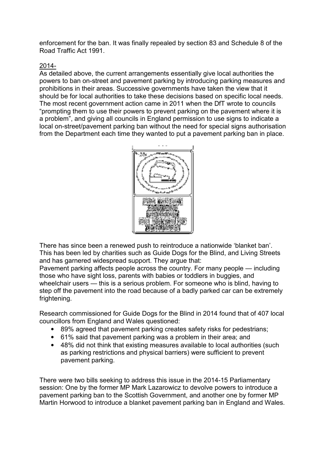enforcement for the ban. It was finally repealed by section 83 and Schedule 8 of the Road Traffic Act 1991.

# 2014-

As detailed above, the current arrangements essentially give local authorities the powers to ban on-street and pavement parking by introducing parking measures and prohibitions in their areas. Successive governments have taken the view that it should be for local authorities to take these decisions based on specific local needs. The most recent government action came in 2011 when the DfT wrote to councils "prompting them to use their powers to prevent parking on the pavement where it is a problem", and giving all councils in England permission to use signs to indicate a local on-street/pavement parking ban without the need for special signs authorisation from the Department each time they wanted to put a pavement parking ban in place.



There has since been a renewed push to reintroduce a nationwide 'blanket ban'. This has been led by charities such as Guide Dogs for the Blind, and Living Streets and has garnered widespread support. They argue that:

Pavement parking affects people across the country. For many people — including those who have sight loss, parents with babies or toddlers in buggies, and wheelchair users — this is a serious problem. For someone who is blind, having to step off the pavement into the road because of a badly parked car can be extremely frightening.

Research commissioned for Guide Dogs for the Blind in 2014 found that of 407 local councillors from England and Wales questioned:

- 89% agreed that pavement parking creates safety risks for pedestrians;
- 61% said that pavement parking was a problem in their area; and
- 48% did not think that existing measures available to local authorities (such as parking restrictions and physical barriers) were sufficient to prevent pavement parking.

There were two bills seeking to address this issue in the 2014-15 Parliamentary session: One by the former MP Mark Lazarowicz to devolve powers to introduce a pavement parking ban to the Scottish Government, and another one by former MP Martin Horwood to introduce a blanket pavement parking ban in England and Wales.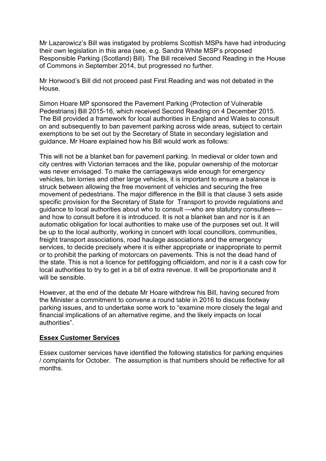Mr Lazarowicz's Bill was instigated by problems Scottish MSPs have had introducing their own legislation in this area (see, e.g. Sandra White MSP's proposed Responsible Parking (Scotland) Bill). The Bill received Second Reading in the House of Commons in September 2014, but progressed no further.

Mr Horwood's Bill did not proceed past First Reading and was not debated in the House.

Simon Hoare MP sponsored the Pavement Parking (Protection of Vulnerable Pedestrians) Bill 2015-16, which received Second Reading on 4 December 2015. The Bill provided a framework for local authorities in England and Wales to consult on and subsequently to ban pavement parking across wide areas, subject to certain exemptions to be set out by the Secretary of State in secondary legislation and guidance. Mr Hoare explained how his Bill would work as follows:

This will not be a blanket ban for pavement parking. In medieval or older town and city centres with Victorian terraces and the like, popular ownership of the motorcar was never envisaged. To make the carriageways wide enough for emergency vehicles, bin lorries and other large vehicles, it is important to ensure a balance is struck between allowing the free movement of vehicles and securing the free movement of pedestrians. The major difference in the Bill is that clause 3 sets aside specific provision for the Secretary of State for Transport to provide regulations and guidance to local authorities about who to consult —who are statutory consultees and how to consult before it is introduced. It is not a blanket ban and nor is it an automatic obligation for local authorities to make use of the purposes set out. It will be up to the local authority, working in concert with local councillors, communities, freight transport associations, road haulage associations and the emergency services, to decide precisely where it is either appropriate or inappropriate to permit or to prohibit the parking of motorcars on pavements. This is not the dead hand of the state. This is not a licence for pettifogging officialdom, and nor is it a cash cow for local authorities to try to get in a bit of extra revenue. It will be proportionate and it will be sensible.

However, at the end of the debate Mr Hoare withdrew his Bill, having secured from the Minister a commitment to convene a round table in 2016 to discuss footway parking issues, and to undertake some work to "examine more closely the legal and financial implications of an alternative regime, and the likely impacts on local authorities".

### **Essex Customer Services**

Essex customer services have identified the following statistics for parking enquiries / complaints for October. The assumption is that numbers should be reflective for all months.